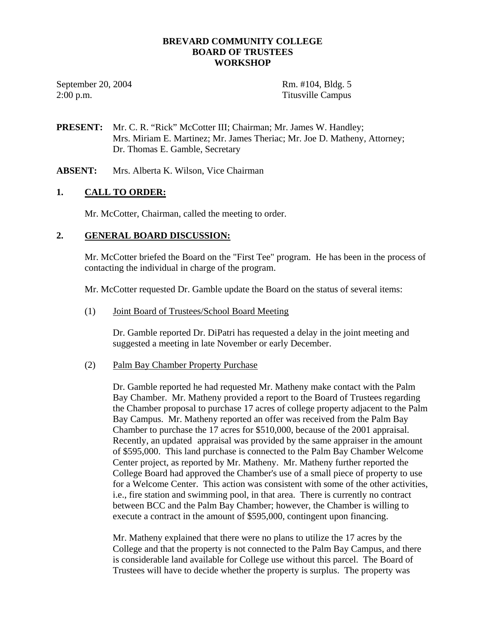### **BREVARD COMMUNITY COLLEGE BOARD OF TRUSTEES WORKSHOP**

September 20, 2004 Rm. #104, Bldg. 5 2:00 p.m. Titusville Campus

**PRESENT:** Mr. C. R. "Rick" McCotter III; Chairman; Mr. James W. Handley; Mrs. Miriam E. Martinez; Mr. James Theriac; Mr. Joe D. Matheny, Attorney; Dr. Thomas E. Gamble, Secretary

**ABSENT:** Mrs. Alberta K. Wilson, Vice Chairman

### **1. CALL TO ORDER:**

Mr. McCotter, Chairman, called the meeting to order.

### **2. GENERAL BOARD DISCUSSION:**

Mr. McCotter briefed the Board on the "First Tee" program. He has been in the process of contacting the individual in charge of the program.

Mr. McCotter requested Dr. Gamble update the Board on the status of several items:

### (1) Joint Board of Trustees/School Board Meeting

 Dr. Gamble reported Dr. DiPatri has requested a delay in the joint meeting and suggested a meeting in late November or early December.

#### (2) Palm Bay Chamber Property Purchase

 Dr. Gamble reported he had requested Mr. Matheny make contact with the Palm Bay Chamber. Mr. Matheny provided a report to the Board of Trustees regarding the Chamber proposal to purchase 17 acres of college property adjacent to the Palm Bay Campus. Mr. Matheny reported an offer was received from the Palm Bay Chamber to purchase the 17 acres for \$510,000, because of the 2001 appraisal. Recently, an updated appraisal was provided by the same appraiser in the amount of \$595,000. This land purchase is connected to the Palm Bay Chamber Welcome Center project, as reported by Mr. Matheny. Mr. Matheny further reported the College Board had approved the Chamber's use of a small piece of property to use for a Welcome Center. This action was consistent with some of the other activities, i.e., fire station and swimming pool, in that area. There is currently no contract between BCC and the Palm Bay Chamber; however, the Chamber is willing to execute a contract in the amount of \$595,000, contingent upon financing.

 Mr. Matheny explained that there were no plans to utilize the 17 acres by the College and that the property is not connected to the Palm Bay Campus, and there is considerable land available for College use without this parcel. The Board of Trustees will have to decide whether the property is surplus. The property was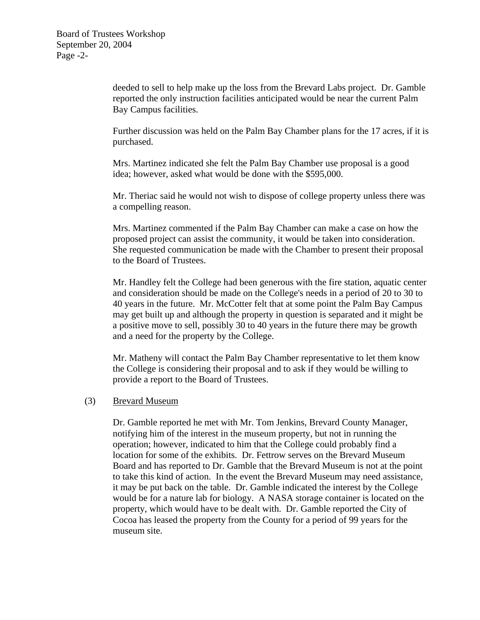deeded to sell to help make up the loss from the Brevard Labs project. Dr. Gamble reported the only instruction facilities anticipated would be near the current Palm Bay Campus facilities.

 Further discussion was held on the Palm Bay Chamber plans for the 17 acres, if it is purchased.

 Mrs. Martinez indicated she felt the Palm Bay Chamber use proposal is a good idea; however, asked what would be done with the \$595,000.

 Mr. Theriac said he would not wish to dispose of college property unless there was a compelling reason.

 Mrs. Martinez commented if the Palm Bay Chamber can make a case on how the proposed project can assist the community, it would be taken into consideration. She requested communication be made with the Chamber to present their proposal to the Board of Trustees.

 Mr. Handley felt the College had been generous with the fire station, aquatic center and consideration should be made on the College's needs in a period of 20 to 30 to 40 years in the future. Mr. McCotter felt that at some point the Palm Bay Campus may get built up and although the property in question is separated and it might be a positive move to sell, possibly 30 to 40 years in the future there may be growth and a need for the property by the College.

 Mr. Matheny will contact the Palm Bay Chamber representative to let them know the College is considering their proposal and to ask if they would be willing to provide a report to the Board of Trustees.

### (3) Brevard Museum

 Dr. Gamble reported he met with Mr. Tom Jenkins, Brevard County Manager, notifying him of the interest in the museum property, but not in running the operation; however, indicated to him that the College could probably find a location for some of the exhibits. Dr. Fettrow serves on the Brevard Museum Board and has reported to Dr. Gamble that the Brevard Museum is not at the point to take this kind of action. In the event the Brevard Museum may need assistance, it may be put back on the table. Dr. Gamble indicated the interest by the College would be for a nature lab for biology. A NASA storage container is located on the property, which would have to be dealt with. Dr. Gamble reported the City of Cocoa has leased the property from the County for a period of 99 years for the museum site.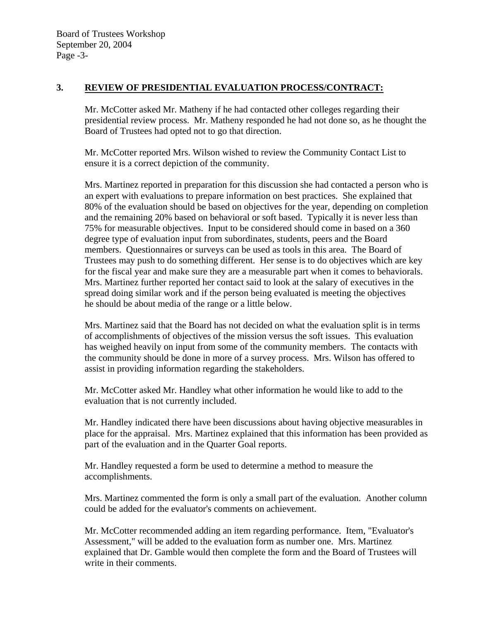### **3. REVIEW OF PRESIDENTIAL EVALUATION PROCESS/CONTRACT:**

Mr. McCotter asked Mr. Matheny if he had contacted other colleges regarding their presidential review process. Mr. Matheny responded he had not done so, as he thought the Board of Trustees had opted not to go that direction.

 Mr. McCotter reported Mrs. Wilson wished to review the Community Contact List to ensure it is a correct depiction of the community.

Mrs. Martinez reported in preparation for this discussion she had contacted a person who is an expert with evaluations to prepare information on best practices. She explained that 80% of the evaluation should be based on objectives for the year, depending on completion and the remaining 20% based on behavioral or soft based. Typically it is never less than 75% for measurable objectives. Input to be considered should come in based on a 360 degree type of evaluation input from subordinates, students, peers and the Board members. Questionnaires or surveys can be used as tools in this area. The Board of Trustees may push to do something different. Her sense is to do objectives which are key for the fiscal year and make sure they are a measurable part when it comes to behaviorals. Mrs. Martinez further reported her contact said to look at the salary of executives in the spread doing similar work and if the person being evaluated is meeting the objectives he should be about media of the range or a little below.

Mrs. Martinez said that the Board has not decided on what the evaluation split is in terms of accomplishments of objectives of the mission versus the soft issues. This evaluation has weighed heavily on input from some of the community members. The contacts with the community should be done in more of a survey process. Mrs. Wilson has offered to assist in providing information regarding the stakeholders.

 Mr. McCotter asked Mr. Handley what other information he would like to add to the evaluation that is not currently included.

 Mr. Handley indicated there have been discussions about having objective measurables in place for the appraisal. Mrs. Martinez explained that this information has been provided as part of the evaluation and in the Quarter Goal reports.

Mr. Handley requested a form be used to determine a method to measure the accomplishments.

 Mrs. Martinez commented the form is only a small part of the evaluation. Another column could be added for the evaluator's comments on achievement.

 Mr. McCotter recommended adding an item regarding performance. Item, "Evaluator's Assessment," will be added to the evaluation form as number one. Mrs. Martinez explained that Dr. Gamble would then complete the form and the Board of Trustees will write in their comments.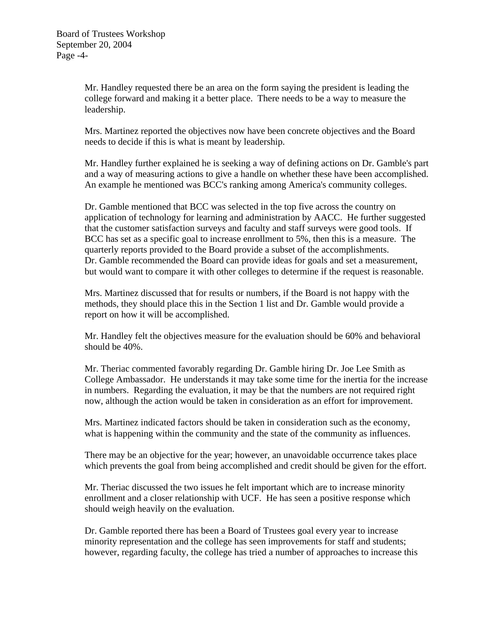Mr. Handley requested there be an area on the form saying the president is leading the college forward and making it a better place. There needs to be a way to measure the leadership.

Mrs. Martinez reported the objectives now have been concrete objectives and the Board needs to decide if this is what is meant by leadership.

Mr. Handley further explained he is seeking a way of defining actions on Dr. Gamble's part and a way of measuring actions to give a handle on whether these have been accomplished. An example he mentioned was BCC's ranking among America's community colleges.

 Dr. Gamble mentioned that BCC was selected in the top five across the country on application of technology for learning and administration by AACC. He further suggested that the customer satisfaction surveys and faculty and staff surveys were good tools. If BCC has set as a specific goal to increase enrollment to 5%, then this is a measure. The quarterly reports provided to the Board provide a subset of the accomplishments. Dr. Gamble recommended the Board can provide ideas for goals and set a measurement, but would want to compare it with other colleges to determine if the request is reasonable.

 Mrs. Martinez discussed that for results or numbers, if the Board is not happy with the methods, they should place this in the Section 1 list and Dr. Gamble would provide a report on how it will be accomplished.

 Mr. Handley felt the objectives measure for the evaluation should be 60% and behavioral should be 40%.

Mr. Theriac commented favorably regarding Dr. Gamble hiring Dr. Joe Lee Smith as College Ambassador. He understands it may take some time for the inertia for the increase in numbers. Regarding the evaluation, it may be that the numbers are not required right now, although the action would be taken in consideration as an effort for improvement.

Mrs. Martinez indicated factors should be taken in consideration such as the economy, what is happening within the community and the state of the community as influences.

 There may be an objective for the year; however, an unavoidable occurrence takes place which prevents the goal from being accomplished and credit should be given for the effort.

 Mr. Theriac discussed the two issues he felt important which are to increase minority enrollment and a closer relationship with UCF. He has seen a positive response which should weigh heavily on the evaluation.

Dr. Gamble reported there has been a Board of Trustees goal every year to increase minority representation and the college has seen improvements for staff and students; however, regarding faculty, the college has tried a number of approaches to increase this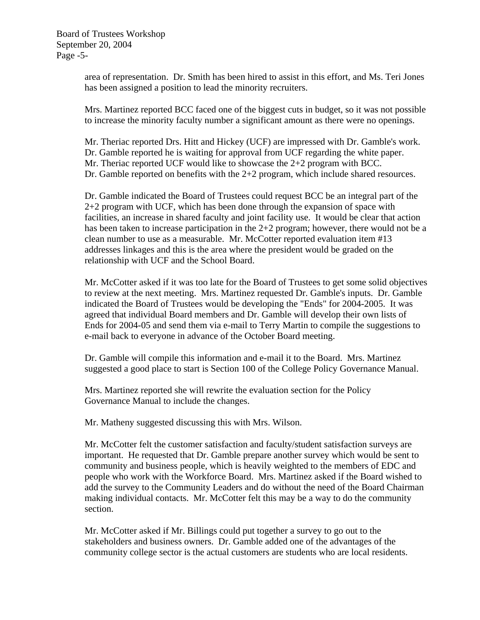area of representation. Dr. Smith has been hired to assist in this effort, and Ms. Teri Jones has been assigned a position to lead the minority recruiters.

 Mrs. Martinez reported BCC faced one of the biggest cuts in budget, so it was not possible to increase the minority faculty number a significant amount as there were no openings.

Mr. Theriac reported Drs. Hitt and Hickey (UCF) are impressed with Dr. Gamble's work. Dr. Gamble reported he is waiting for approval from UCF regarding the white paper. Mr. Theriac reported UCF would like to showcase the 2+2 program with BCC. Dr. Gamble reported on benefits with the 2+2 program, which include shared resources.

 Dr. Gamble indicated the Board of Trustees could request BCC be an integral part of the 2+2 program with UCF, which has been done through the expansion of space with facilities, an increase in shared faculty and joint facility use. It would be clear that action has been taken to increase participation in the 2+2 program; however, there would not be a clean number to use as a measurable. Mr. McCotter reported evaluation item #13 addresses linkages and this is the area where the president would be graded on the relationship with UCF and the School Board.

Mr. McCotter asked if it was too late for the Board of Trustees to get some solid objectives to review at the next meeting. Mrs. Martinez requested Dr. Gamble's inputs. Dr. Gamble indicated the Board of Trustees would be developing the "Ends" for 2004-2005. It was agreed that individual Board members and Dr. Gamble will develop their own lists of Ends for 2004-05 and send them via e-mail to Terry Martin to compile the suggestions to e-mail back to everyone in advance of the October Board meeting.

 Dr. Gamble will compile this information and e-mail it to the Board. Mrs. Martinez suggested a good place to start is Section 100 of the College Policy Governance Manual.

Mrs. Martinez reported she will rewrite the evaluation section for the Policy Governance Manual to include the changes.

Mr. Matheny suggested discussing this with Mrs. Wilson.

Mr. McCotter felt the customer satisfaction and faculty/student satisfaction surveys are important. He requested that Dr. Gamble prepare another survey which would be sent to community and business people, which is heavily weighted to the members of EDC and people who work with the Workforce Board. Mrs. Martinez asked if the Board wished to add the survey to the Community Leaders and do without the need of the Board Chairman making individual contacts. Mr. McCotter felt this may be a way to do the community section.

 Mr. McCotter asked if Mr. Billings could put together a survey to go out to the stakeholders and business owners. Dr. Gamble added one of the advantages of the community college sector is the actual customers are students who are local residents.